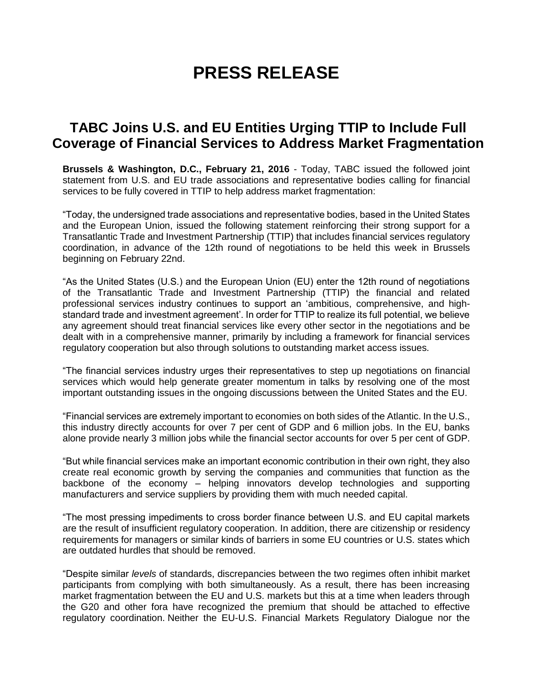## **PRESS RELEASE**

## **TABC Joins U.S. and EU Entities Urging TTIP to Include Full Coverage of Financial Services to Address Market Fragmentation**

**Brussels & Washington, D.C., February 21, 2016** - Today, TABC issued the followed joint statement from U.S. and EU trade associations and representative bodies calling for financial services to be fully covered in TTIP to help address market fragmentation:

"Today, the undersigned trade associations and representative bodies, based in the United States and the European Union, issued the following statement reinforcing their strong support for a Transatlantic Trade and Investment Partnership (TTIP) that includes financial services regulatory coordination, in advance of the 12th round of negotiations to be held this week in Brussels beginning on February 22nd.

"As the United States (U.S.) and the European Union (EU) enter the 12th round of negotiations of the Transatlantic Trade and Investment Partnership (TTIP) the financial and related professional services industry continues to support an 'ambitious, comprehensive, and highstandard trade and investment agreement'. In order for TTIP to realize its full potential, we believe any agreement should treat financial services like every other sector in the negotiations and be dealt with in a comprehensive manner, primarily by including a framework for financial services regulatory cooperation but also through solutions to outstanding market access issues.

"The financial services industry urges their representatives to step up negotiations on financial services which would help generate greater momentum in talks by resolving one of the most important outstanding issues in the ongoing discussions between the United States and the EU.

"Financial services are extremely important to economies on both sides of the Atlantic. In the U.S., this industry directly accounts for over 7 per cent of GDP and 6 million jobs. In the EU, banks alone provide nearly 3 million jobs while the financial sector accounts for over 5 per cent of GDP.

"But while financial services make an important economic contribution in their own right, they also create real economic growth by serving the companies and communities that function as the backbone of the economy – helping innovators develop technologies and supporting manufacturers and service suppliers by providing them with much needed capital.

"The most pressing impediments to cross border finance between U.S. and EU capital markets are the result of insufficient regulatory cooperation. In addition, there are citizenship or residency requirements for managers or similar kinds of barriers in some EU countries or U.S. states which are outdated hurdles that should be removed.

"Despite similar *levels* of standards, discrepancies between the two regimes often inhibit market participants from complying with both simultaneously. As a result, there has been increasing market fragmentation between the EU and U.S. markets but this at a time when leaders through the G20 and other fora have recognized the premium that should be attached to effective regulatory coordination. Neither the EU-U.S. Financial Markets Regulatory Dialogue nor the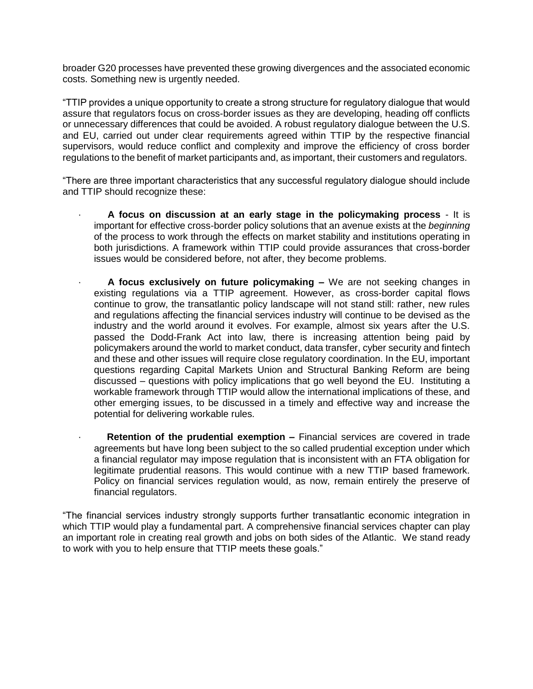broader G20 processes have prevented these growing divergences and the associated economic costs. Something new is urgently needed.

"TTIP provides a unique opportunity to create a strong structure for regulatory dialogue that would assure that regulators focus on cross-border issues as they are developing, heading off conflicts or unnecessary differences that could be avoided. A robust regulatory dialogue between the U.S. and EU, carried out under clear requirements agreed within TTIP by the respective financial supervisors, would reduce conflict and complexity and improve the efficiency of cross border regulations to the benefit of market participants and, as important, their customers and regulators.

"There are three important characteristics that any successful regulatory dialogue should include and TTIP should recognize these:

- · **A focus on discussion at an early stage in the policymaking process** It is important for effective cross-border policy solutions that an avenue exists at the *beginning* of the process to work through the effects on market stability and institutions operating in both jurisdictions. A framework within TTIP could provide assurances that cross-border issues would be considered before, not after, they become problems.
- · **A focus exclusively on future policymaking –** We are not seeking changes in existing regulations via a TTIP agreement. However, as cross-border capital flows continue to grow, the transatlantic policy landscape will not stand still: rather, new rules and regulations affecting the financial services industry will continue to be devised as the industry and the world around it evolves. For example, almost six years after the U.S. passed the Dodd-Frank Act into law, there is increasing attention being paid by policymakers around the world to market conduct, data transfer, cyber security and fintech and these and other issues will require close regulatory coordination. In the EU, important questions regarding Capital Markets Union and Structural Banking Reform are being discussed – questions with policy implications that go well beyond the EU. Instituting a workable framework through TTIP would allow the international implications of these, and other emerging issues, to be discussed in a timely and effective way and increase the potential for delivering workable rules.
- **Retention of the prudential exemption –** Financial services are covered in trade agreements but have long been subject to the so called prudential exception under which a financial regulator may impose regulation that is inconsistent with an FTA obligation for legitimate prudential reasons. This would continue with a new TTIP based framework. Policy on financial services regulation would, as now, remain entirely the preserve of financial regulators.

"The financial services industry strongly supports further transatlantic economic integration in which TTIP would play a fundamental part. A comprehensive financial services chapter can play an important role in creating real growth and jobs on both sides of the Atlantic. We stand ready to work with you to help ensure that TTIP meets these goals."